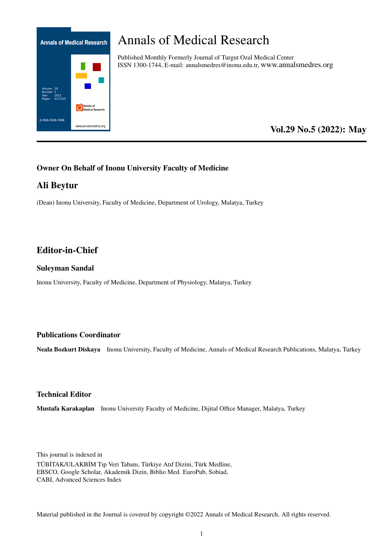

# Annals of Medical Research

Published Monthly Formerly Journal of Turgut Ozal Medical Center ISSN 1300-1744, E-mail: annalsmedres@inonu.edu.tr, www.annalsmedres.org

# Vol.29 No.5 (2022): May

# Owner On Behalf of Inonu University Faculty of Medicine

# Ali Beytur

(Dean) Inonu University, Faculty of Medicine, Department of Urology, Malatya, Turkey

# Editor-in-Chief

#### Suleyman Sandal

Inonu University, Faculty of Medicine, Department of Physiology, Malatya, Turkey

### Publications Coordinator

Neala Bozkurt Diskaya Inonu University, Faculty of Medicine, Annals of Medical Research Publications, Malatya, Turkey

#### Technical Editor

Mustafa Karakaplan Inonu University Faculty of Medicine, Dijital Office Manager, Malatya, Turkey

This journal is indexed in TÜB˙ITAK/ULAKB˙IM Tıp Veri Tabanı, Türkiye Atıf Dizini, Türk Medline, EBSCO, Google Scholar, Akademik Dizin, Biblio Med. EuroPub, Sobiad, CABI, Advanced Sciences Index

Material published in the Journal is covered by copyright ©2022 Annals of Medical Research. All rights reserved.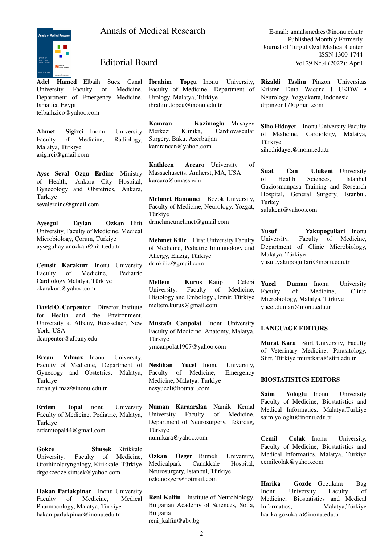# Annals of Medical Research E-mail: annalsmedres@inonu.edu.tr



Adel Hamed Elbaih Suez Canal University Faculty of Medicine, Department of Emergency Medicine, Ismailia, Egypt telbaihzico@yahoo.com

Ahmet Sigirci Inonu University Faculty of Medicine, Radiology, Malatya, Türkiye asigirci@gmail.com

Ayse Seval Ozgu Erdinc Ministry of Health, Ankara City Hospital, Gynecology and Obstetrics, Ankara, Türkiye sevalerdinc@gmail.com

Aysegul Taylan Ozkan Hitit University, Faculty of Medicine, Medical Microbiology, Çorum, Türkiye aysegultaylanozkan@hitit.edu.tr

Cemsit Karakurt Inonu University Faculty of Medicine, Pediatric Cardiology Malatya, Türkiye ckarakurt@yahoo.com

David O. Carpenter Director, Institute for Health and the Environment, University at Albany, Rensselaer, New York, USA dcarpenter@albany.edu

Ercan Yılmaz Inonu University, Faculty of Medicine, Department of Gynecogy and Obstetrics, Malatya, Türkiye ercan.yilmaz@inonu.edu.tr

Erdem Topal Inonu University Faculty of Medicine, Pediatric, Malatya, Türkiye erdemtopal44@gmail.com

Gokce Simsek Kirikkale University, Faculty of Medicine, Otorhinolaryngology, Kirikkale, Türkiye drgokceozelsimsek@yahoo.com

Hakan Parlakpinar Inonu University Faculty of Medicine, Medical Pharmacology, Malatya, Türkiye hakan.parlakpinar@inonu.edu.tr

˙Ibrahim Topçu Inonu University, Faculty of Medicine, Department of Urology, Malatya, Türkiye ibrahim.topcu@inonu.edu.tr

Kamran Kazimoglu Musayev Merkezi Klinika, Cardiovascular Surgery, Baku, Azerbaijan kamrancan@yahoo.com

Kathleen Arcaro University of Massachusetts, Amherst, MA, USA karcaro@umass.edu

Mehmet Hamamci Bozok University, Faculty of Medicine, Neurology, Yozgat, Türkiye drmehmetmehmet@gmail.com

Mehmet Kilic Firat University Faculty of Medicine, Pediatric Immunology and Allergy, Elazig, Türkiye drmkilic@gmail.com

Meltem Kurus Katip Celebi University, Faculty of Medicine, Histology and Embology , Izmir, Türkiye meltem.kurus@gmail.com

Mustafa Canpolat Inonu University Faculty of Medicine, Anatomy, Malatya, Türkiye ymcanpolat1907@yahoo.com

Neslihan Yucel Inonu University, Faculty of Medicine, Emergency Medicine, Malatya, Türkiye nesyucel@hotmail.com

Numan Karaarslan Namik Kemal University Faculty of Medicine, Department of Neurosurgery, Tekirdag, Türkiye numikara@yahoo.com

Ozkan Ozger Rumeli University, Medicalpark Canakkale Hospital, Neurosurgery, Istanbul, Türkiye ozkanozger@hotmail.com

Reni Kalfin Institute of Neurobiology, Bulgarian Academy of Sciences, Sofia, Bulgaria reni\_kalfin@abv.bg

Published Monthly Formerly Journal of Turgut Ozal Medical Center ISSN 1300-1744 Editorial Board Vol.29 No.4 (2022): April

> Rizaldi Taslim Pinzon Universitas Kristen Duta Wacana | UKDW • Neurology, Yogyakarta, Indonesia drpinzon17@gmail.com

> Siho Hidayet Inonu University Faculty of Medicine, Cardiology, Malatya, Türkiye siho.hidayet@inonu.edu.tr

> Suat Can Ulukent University of Health Sciences, Istanbul Gaziosmanpasa Training and Research Hospital, General Surgery, Istanbul, Turkey sulukent@yahoo.com

> Yusuf Yakupogullari Inonu University, Faculty of Medicine, Department of Clinic Microbiology, Malatya, Türkiye yusuf.yakupogullari@inonu.edu.tr

> Yucel Duman Inonu University Faculty of Medicine, Clinic Microbiology, Malatya, Türkiye yucel.duman@inonu.edu.tr

#### LANGUAGE EDITORS

Murat Kara Siirt University, Faculty of Veterinary Medicine, Parasitology, Siirt, Türkiye muratkara@siirt.edu.tr

#### BIOSTATISTICS EDITORS

Saim Yologlu Inonu University Faculty of Medicine, Biostatistics and Medical Informatics, Malatya,Türkiye saim.yologlu@inonu.edu.tr

Cemil Colak Inonu University, Faculty of Medicine, Biostatistics and Medical Informatics, Malatya, Türkiye cemilcolak@yahoo.com

Harika Gozde Gozukara Bag Inonu University Faculty of Medicine, Biostatistics and Medical Informatics, Malatya,Türkiye harika.gozukara@inonu.edu.tr